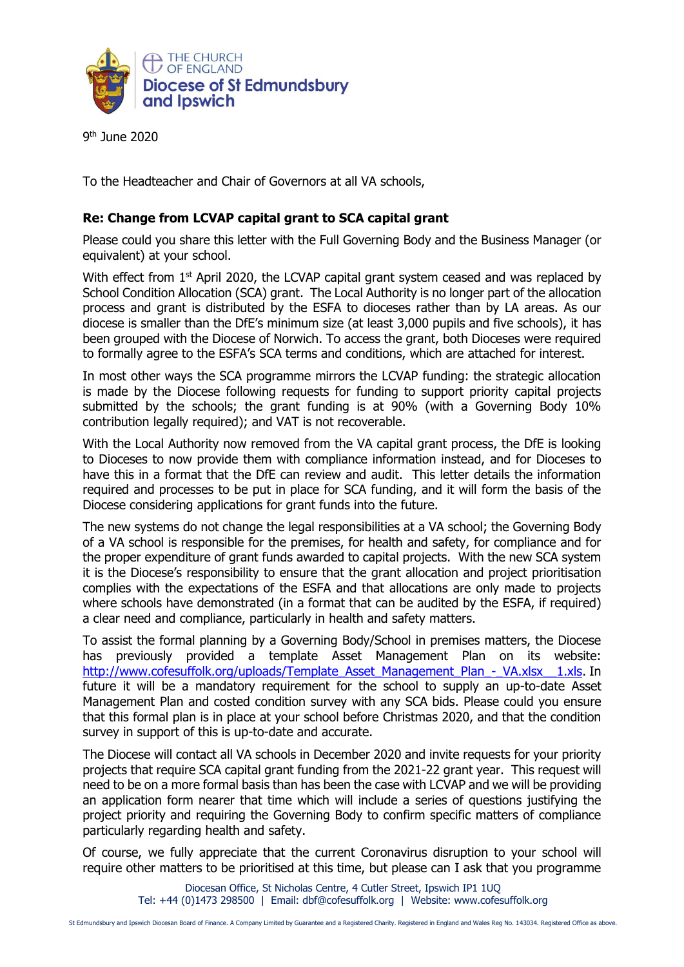

9<sup>th</sup> June 2020

To the Headteacher and Chair of Governors at all VA schools,

## **Re: Change from LCVAP capital grant to SCA capital grant**

Please could you share this letter with the Full Governing Body and the Business Manager (or equivalent) at your school.

With effect from 1<sup>st</sup> April 2020, the LCVAP capital grant system ceased and was replaced by School Condition Allocation (SCA) grant. The Local Authority is no longer part of the allocation process and grant is distributed by the ESFA to dioceses rather than by LA areas. As our diocese is smaller than the DfE's minimum size (at least 3,000 pupils and five schools), it has been grouped with the Diocese of Norwich. To access the grant, both Dioceses were required to formally agree to the ESFA's SCA terms and conditions, which are attached for interest.

In most other ways the SCA programme mirrors the LCVAP funding: the strategic allocation is made by the Diocese following requests for funding to support priority capital projects submitted by the schools; the grant funding is at 90% (with a Governing Body 10% contribution legally required); and VAT is not recoverable.

With the Local Authority now removed from the VA capital grant process, the DfE is looking to Dioceses to now provide them with compliance information instead, and for Dioceses to have this in a format that the DfE can review and audit. This letter details the information required and processes to be put in place for SCA funding, and it will form the basis of the Diocese considering applications for grant funds into the future.

The new systems do not change the legal responsibilities at a VA school; the Governing Body of a VA school is responsible for the premises, for health and safety, for compliance and for the proper expenditure of grant funds awarded to capital projects. With the new SCA system it is the Diocese's responsibility to ensure that the grant allocation and project prioritisation complies with the expectations of the ESFA and that allocations are only made to projects where schools have demonstrated (in a format that can be audited by the ESFA, if required) a clear need and compliance, particularly in health and safety matters.

To assist the formal planning by a Governing Body/School in premises matters, the Diocese has previously provided a template Asset Management Plan on its website: http://www.cofesuffolk.org/uploads/Template Asset\_Management\_Plan\_-\_VA.xlsx\_\_1.xls. In future it will be a mandatory requirement for the school to supply an up-to-date Asset Management Plan and costed condition survey with any SCA bids. Please could you ensure that this formal plan is in place at your school before Christmas 2020, and that the condition survey in support of this is up-to-date and accurate.

The Diocese will contact all VA schools in December 2020 and invite requests for your priority projects that require SCA capital grant funding from the 2021-22 grant year. This request will need to be on a more formal basis than has been the case with LCVAP and we will be providing an application form nearer that time which will include a series of questions justifying the project priority and requiring the Governing Body to confirm specific matters of compliance particularly regarding health and safety.

Of course, we fully appreciate that the current Coronavirus disruption to your school will require other matters to be prioritised at this time, but please can I ask that you programme